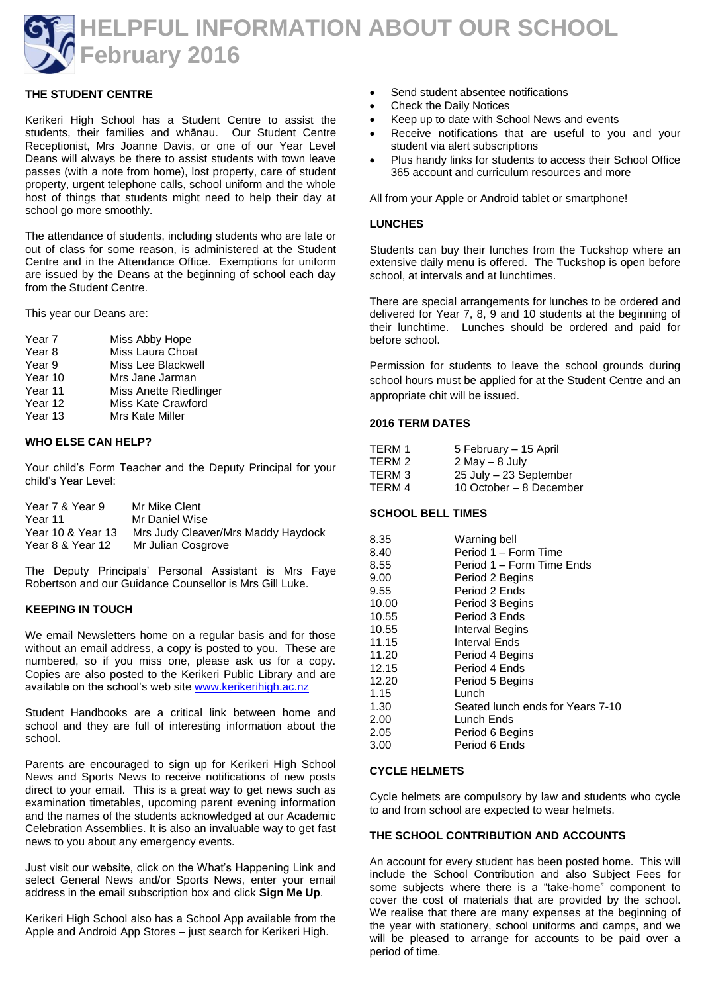

# **THE STUDENT CENTRE**

Kerikeri High School has a Student Centre to assist the students, their families and whānau. Our Student Centre Receptionist, Mrs Joanne Davis, or one of our Year Level Deans will always be there to assist students with town leave passes (with a note from home), lost property, care of student property, urgent telephone calls, school uniform and the whole host of things that students might need to help their day at school go more smoothly.

The attendance of students, including students who are late or out of class for some reason, is administered at the Student Centre and in the Attendance Office. Exemptions for uniform are issued by the Deans at the beginning of school each day from the Student Centre.

This year our Deans are:

Year 7 Miss Abby Hope<br>Year 8 Miss Laura Choa Miss Laura Choat Year 9 Miss Lee Blackwell Year 10 Mrs Jane Jarman Year 11 Miss Anette Riedlinger Year 12 Miss Kate Crawford Year 13 Mrs Kate Miller

### **WHO ELSE CAN HELP?**

Your child's Form Teacher and the Deputy Principal for your child's Year Level:

| Year 7 & Year 9   | Mr Mike Clent                      |
|-------------------|------------------------------------|
| Year 11           | Mr Daniel Wise                     |
| Year 10 & Year 13 | Mrs Judy Cleaver/Mrs Maddy Haydock |
| Year 8 & Year 12  | Mr Julian Cosgrove                 |

The Deputy Principals' Personal Assistant is Mrs Faye Robertson and our Guidance Counsellor is Mrs Gill Luke.

### **KEEPING IN TOUCH**

We email Newsletters home on a regular basis and for those without an email address, a copy is posted to you. These are numbered, so if you miss one, please ask us for a copy. Copies are also posted to the Kerikeri Public Library and are available on the school's web site [www.kerikerihigh.ac.nz](http://www.kerikerihigh.ac.nz/)

Student Handbooks are a critical link between home and school and they are full of interesting information about the school.

Parents are encouraged to sign up for Kerikeri High School News and Sports News to receive notifications of new posts direct to your email. This is a great way to get news such as examination timetables, upcoming parent evening information and the names of the students acknowledged at our Academic Celebration Assemblies. It is also an invaluable way to get fast news to you about any emergency events.

Just visit our website, click on the What's Happening Link and select General News and/or Sports News, enter your email address in the email subscription box and click **Sign Me Up**.

Kerikeri High School also has a School App available from the Apple and Android App Stores – just search for Kerikeri High.

- Send student absentee notifications
- Check the Daily Notices
- Keep up to date with School News and events
- Receive notifications that are useful to you and your student via alert subscriptions
- Plus handy links for students to access their School Office 365 account and curriculum resources and more

All from your Apple or Android tablet or smartphone!

#### **LUNCHES**

Students can buy their lunches from the Tuckshop where an extensive daily menu is offered. The Tuckshop is open before school, at intervals and at lunchtimes.

There are special arrangements for lunches to be ordered and delivered for Year 7, 8, 9 and 10 students at the beginning of their lunchtime. Lunches should be ordered and paid for before school.

Permission for students to leave the school grounds during school hours must be applied for at the Student Centre and an appropriate chit will be issued.

#### **2016 TERM DATES**

| TERM 1 | 5 February - 15 April   |
|--------|-------------------------|
| TERM 2 | $2$ May $-$ 8 July      |
| TERM 3 | 25 July - 23 September  |
| TERM 4 | 10 October – 8 December |

### **SCHOOL BELL TIMES**

| 8.35  | Warning bell                     |
|-------|----------------------------------|
| 8.40  | Period 1 – Form Time             |
| 8.55  | Period 1 – Form Time Ends        |
| 9.00  | Period 2 Begins                  |
| 9.55  | Period 2 Ends                    |
| 10.00 | Period 3 Begins                  |
| 10.55 | Period 3 Ends                    |
| 10.55 | <b>Interval Begins</b>           |
| 11.15 | Interval Ends                    |
| 11.20 | Period 4 Begins                  |
| 12.15 | Period 4 Ends                    |
| 12.20 | Period 5 Begins                  |
| 1.15  | Lunch                            |
| 1.30  | Seated lunch ends for Years 7-10 |
| 2.00  | Lunch Ends                       |
| 2.05  | Period 6 Begins                  |
| 3.00  | Period 6 Ends                    |

#### **CYCLE HELMETS**

Cycle helmets are compulsory by law and students who cycle to and from school are expected to wear helmets.

#### **THE SCHOOL CONTRIBUTION AND ACCOUNTS**

An account for every student has been posted home. This will include the School Contribution and also Subject Fees for some subjects where there is a "take-home" component to cover the cost of materials that are provided by the school. We realise that there are many expenses at the beginning of the year with stationery, school uniforms and camps, and we will be pleased to arrange for accounts to be paid over a period of time.